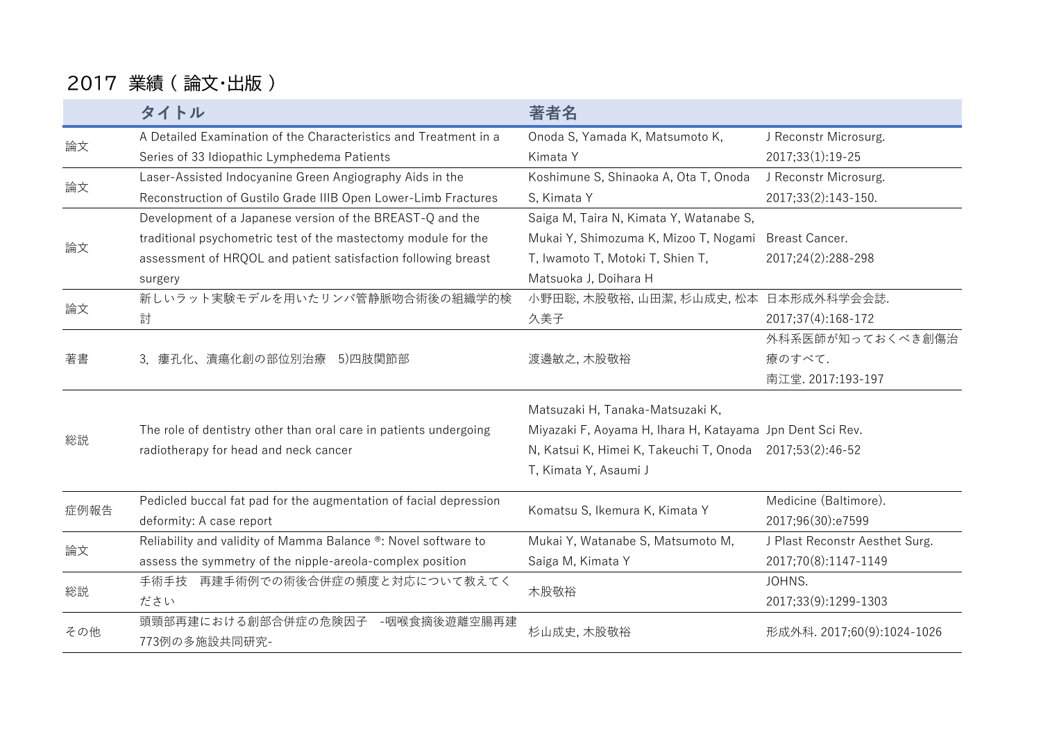## 2017 業績 ( 論文・出版 )

|                            | タイトル                                                              | 著者名                                                       |                                |
|----------------------------|-------------------------------------------------------------------|-----------------------------------------------------------|--------------------------------|
|                            | A Detailed Examination of the Characteristics and Treatment in a  | Onoda S, Yamada K, Matsumoto K,                           | J Reconstr Microsurg.          |
| 論文<br>論文<br>論文<br>論文<br>著書 | Series of 33 Idiopathic Lymphedema Patients                       | Kimata Y                                                  | 2017;33(1):19-25               |
|                            | Laser-Assisted Indocyanine Green Angiography Aids in the          | Koshimune S, Shinaoka A, Ota T, Onoda                     | J Reconstr Microsurg.          |
|                            | Reconstruction of Gustilo Grade IIIB Open Lower-Limb Fractures    | S, Kimata Y                                               | 2017;33(2):143-150.            |
|                            | Development of a Japanese version of the BREAST-Q and the         | Saiga M, Taira N, Kimata Y, Watanabe S,                   |                                |
|                            | traditional psychometric test of the mastectomy module for the    | Mukai Y, Shimozuma K, Mizoo T, Nogami                     | <b>Breast Cancer.</b>          |
|                            | assessment of HRQOL and patient satisfaction following breast     | T, Iwamoto T, Motoki T, Shien T,                          | 2017;24(2):288-298             |
|                            | surgery                                                           | Matsuoka J, Doihara H                                     |                                |
|                            | 新しいラット実験モデルを用いたリンパ管静脈吻合術後の組織学的検                                   | 小野田聡,木股敬裕,山田潔,杉山成史,松本 日本形成外科学会会誌.                         |                                |
|                            | 討                                                                 | 久美子                                                       | 2017;37(4):168-172             |
|                            | 3. 瘻孔化、潰瘍化創の部位別治療 5)四肢関節部                                         | 渡邊敏之, 木股敬裕                                                | 外科系医師が知っておくべき創傷治               |
|                            |                                                                   |                                                           | 療のすべて.                         |
|                            |                                                                   |                                                           | 南江堂. 2017:193-197              |
| 総説                         |                                                                   | Matsuzaki H, Tanaka-Matsuzaki K,                          |                                |
|                            | The role of dentistry other than oral care in patients undergoing | Miyazaki F, Aoyama H, Ihara H, Katayama Jpn Dent Sci Rev. |                                |
|                            | radiotherapy for head and neck cancer                             | N, Katsui K, Himei K, Takeuchi T, Onoda 2017;53(2):46-52  |                                |
|                            |                                                                   | T, Kimata Y, Asaumi J                                     |                                |
| 症例報告<br>論文<br>総説<br>その他    | Pedicled buccal fat pad for the augmentation of facial depression | Komatsu S, Ikemura K, Kimata Y                            | Medicine (Baltimore).          |
|                            | deformity: A case report                                          |                                                           | 2017;96(30):e7599              |
|                            | Reliability and validity of Mamma Balance ®: Novel software to    | Mukai Y, Watanabe S, Matsumoto M,                         | J Plast Reconstr Aesthet Surg. |
|                            | assess the symmetry of the nipple-areola-complex position         | Saiga M, Kimata Y                                         | 2017;70(8):1147-1149           |
|                            | 手術手技 再建手術例での術後合併症の頻度と対応について教えてく                                   | 木股敬裕                                                      | JOHNS.                         |
|                            | ださい                                                               |                                                           | 2017;33(9):1299-1303           |
|                            | 頭頸部再建における創部合併症の危険因子<br>-咽喉食摘後遊離空腸再建<br>773例の多施設共同研究-              | 杉山成史, 木股敬裕                                                | 形成外科. 2017;60(9):1024-1026     |